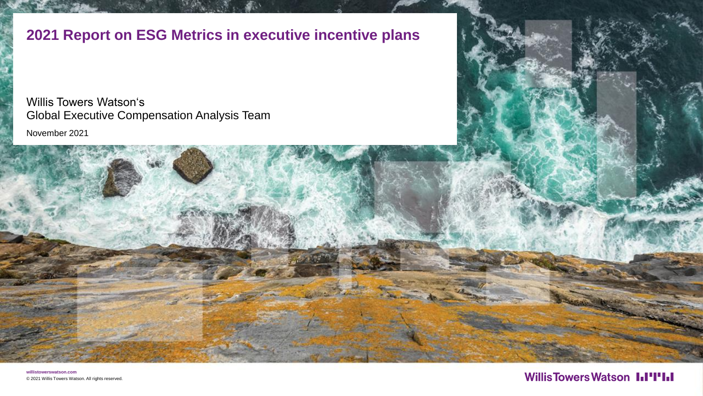**2021 Report on ESG Metrics in executive incentive plans**

November 2021 Willis Towers Watson's Global Executive Compensation Analysis Team

**willistowerswatson.com** © 2021 Willis Towers Watson. All rights reserved.

#### **WillisTowersWatson I.I'I'I.I**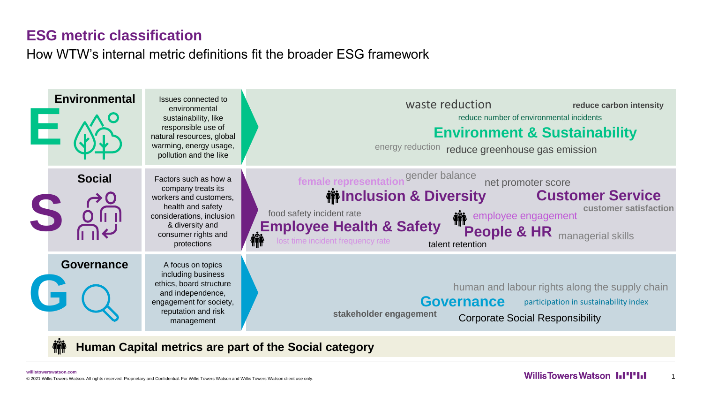#### **ESG metric classification**

How WTW's internal metric definitions fit the broader ESG framework



**Human Capital metrics are part of the Social category**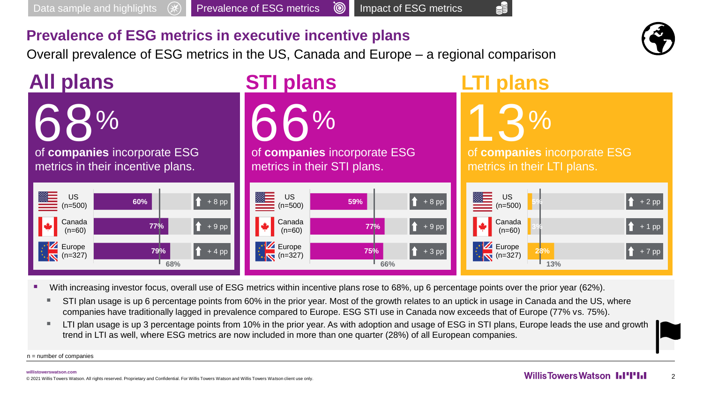Overall prevalence of ESG metrics in the US, Canada and Europe – a regional comparison



Š



- With increasing investor focus, overall use of ESG metrics within incentive plans rose to 68%, up 6 percentage points over the prior year (62%).
	- STI plan usage is up 6 percentage points from 60% in the prior year. Most of the growth relates to an uptick in usage in Canada and the US, where companies have traditionally lagged in prevalence compared to Europe. ESG STI use in Canada now exceeds that of Europe (77% vs. 75%).
	- LTI plan usage is up 3 percentage points from 10% in the prior year. As with adoption and usage of ESG in STI plans, Europe leads the use and growth trend in LTI as well, where ESG metrics are now included in more than one quarter (28%) of all European companies.

n = number of companies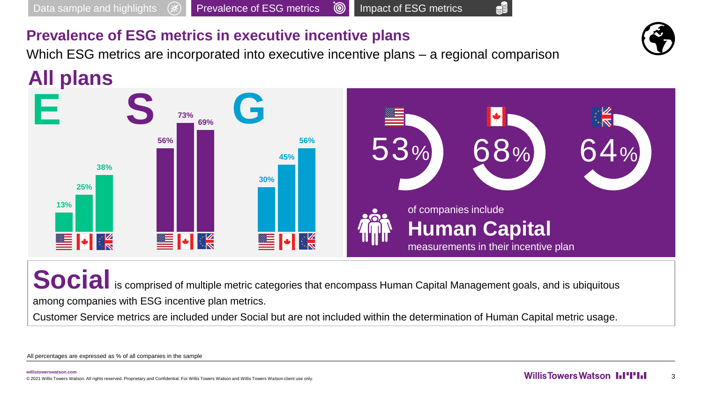Which ESG metrics are incorporated into executive incentive plans – a regional comparison

**All plans**



**Social** is comprised of multiple metric categories that encompass Human Capital Management goals, and is ubiquitous among companies with ESG incentive plan metrics.

Customer Service metrics are included under Social but are not included within the determination of Human Capital metric usage.

All percentages are expressed as % of all companies in the sample

ŞĔ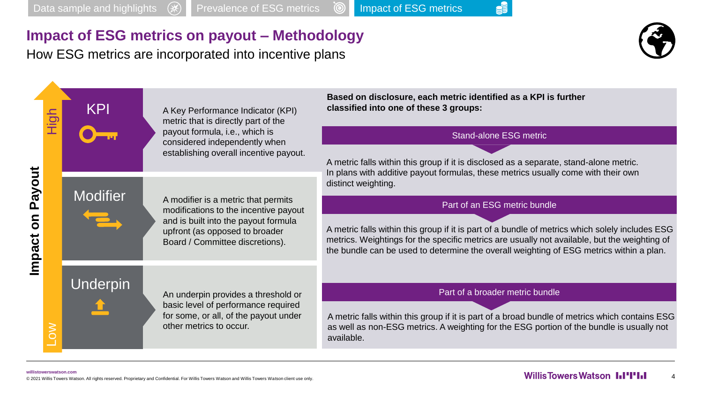#### **Impact of ESG metrics on payout – Methodology**

How ESG metrics are incorporated into incentive plans



<u>SE</u>

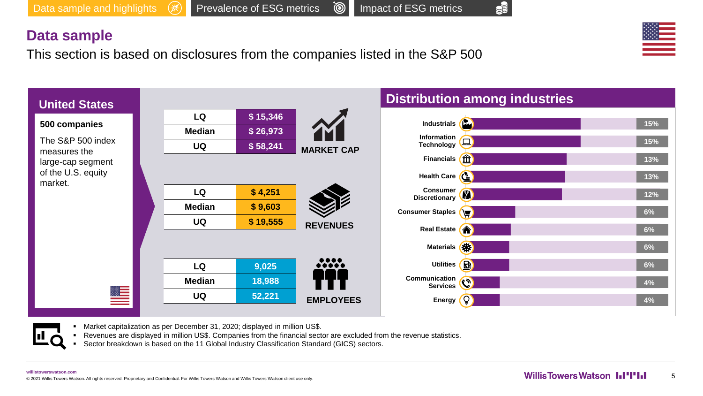SF

#### **Data sample**

This section is based on disclosures from the companies listed in the S&P 500



- Market capitalization as per December 31, 2020; displayed in million US\$.
- Revenues are displayed in million US\$. Companies from the financial sector are excluded from the revenue statistics.
- Sector breakdown is based on the 11 Global Industry Classification Standard (GICS) sectors.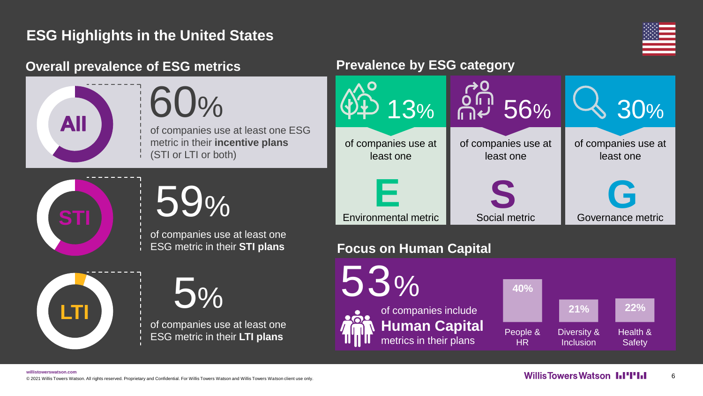### **ESG Highlights in the United States**



#### **Overall prevalence of ESG metrics <b>Prevalence by ESG category**

60% of companies use at least one ESG metric in their **incentive plans**  (STI or LTI or both)



**All** 

59%

of companies use at least one ESG metric in their **STI plans**



5% of companies use at least one ESG metric in their **LTI plans**



#### **Focus on Human Capital**

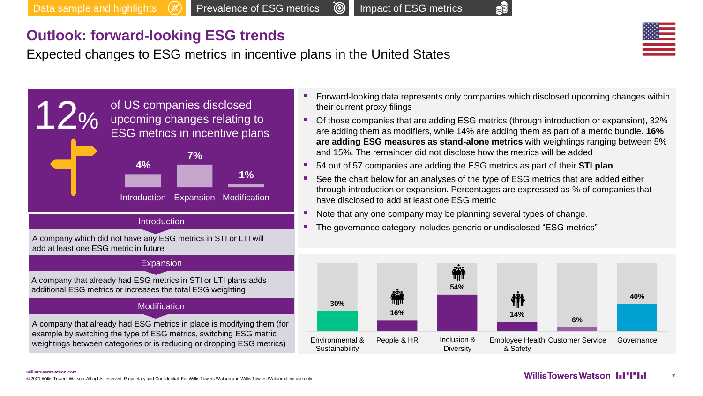#### **Outlook: forward-looking ESG trends**

Expected changes to ESG metrics in incentive plans in the United States





- Forward-looking data represents only companies which disclosed upcoming changes within their current proxy filings
- Of those companies that are adding ESG metrics (through introduction or expansion), 32% are adding them as modifiers, while 14% are adding them as part of a metric bundle. **16% are adding ESG measures as stand-alone metrics** with weightings ranging between 5% and 15%. The remainder did not disclose how the metrics will be added
- 54 out of 57 companies are adding the ESG metrics as part of their **STI plan**
- See the chart below for an analyses of the type of ESG metrics that are added either through introduction or expansion. Percentages are expressed as % of companies that have disclosed to add at least one ESG metric
- Note that any one company may be planning several types of change.
- The governance category includes generic or undisclosed "ESG metrics"



#### **willistowerswatson.com**

WILLISTOWETS WATSON ALL RISP ON THE STATE OF THE RESERVED ON THE RESERVED ON THE RESERVED ON THE RESERVED ON THE RESERVED ON THE RESERVED ON THE RESERVED ON THE RESERVED ON THE RESERVED ON THE RESERVED ON THE RESERVED ON T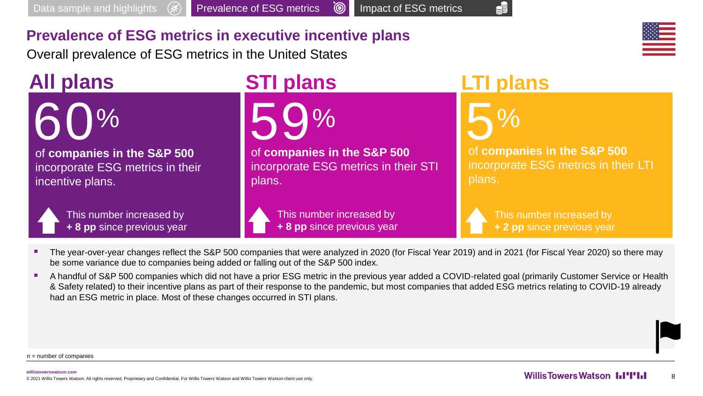

Overall prevalence of ESG metrics in the United States

**All plans**



of **companies in the S&P 500**  incorporate ESG metrics in their incentive plans.



This number increased by **+ 8 pp** since previous year

# **STI plans LTI plans**



of **companies in the S&P 500**  incorporate ESG metrics in their STI plans.

> This number increased by **+ 8 pp** since previous year

5% of **companies in the S&P 500**  incorporate ESG metrics in their LTI plans.

ŠÉ

This number increased by **+ 2 pp** since previous year

- The year-over-year changes reflect the S&P 500 companies that were analyzed in 2020 (for Fiscal Year 2019) and in 2021 (for Fiscal Year 2020) so there may be some variance due to companies being added or falling out of the S&P 500 index.
- A handful of S&P 500 companies which did not have a prior ESG metric in the previous year added a COVID-related goal (primarily Customer Service or Health & Safety related) to their incentive plans as part of their response to the pandemic, but most companies that added ESG metrics relating to COVID-19 already had an ESG metric in place. Most of these changes occurred in STI plans.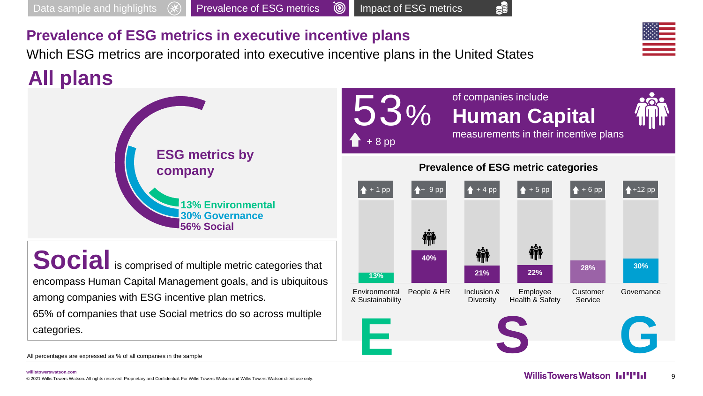Which ESG metrics are incorporated into executive incentive plans in the United States

## **All plans**



**Social** is comprised of multiple metric categories that encompass Human Capital Management goals, and is ubiquitous among companies with ESG incentive plan metrics. 65% of companies that use Social metrics do so across multiple categories.

of companies include 53% **Human Capital**  measurements in their incentive plans + 8 pp **Prevalence of ESG metric categories**  $+1 \text{ pp}$   $+ 9 \text{ pp}$   $+ 4 \text{ pp}$   $+ 5 \text{ pp}$   $+ 5 \text{ pp}$   $+ 6 \text{ pp}$   $+ 12 \text{ pp}$ 櫹 **Thi The Set of Article 40% 21% 22% 28% 30% 13% Environmental** People & HR Inclusion & Employee Customer **Governance** & Sustainability Health & Safety Service **Diversity E S G**

Š

All percentages are expressed as % of all companies in the sample

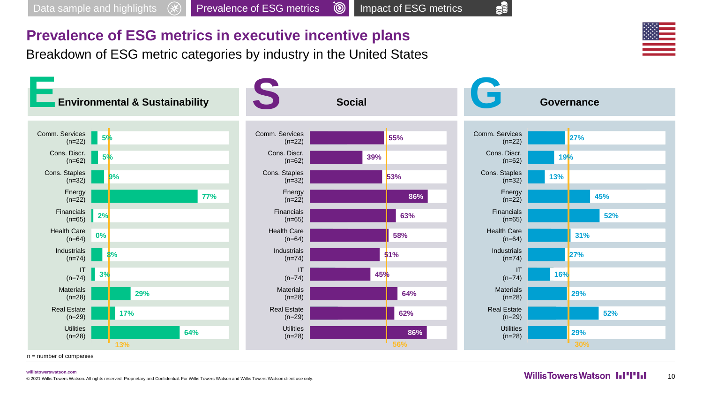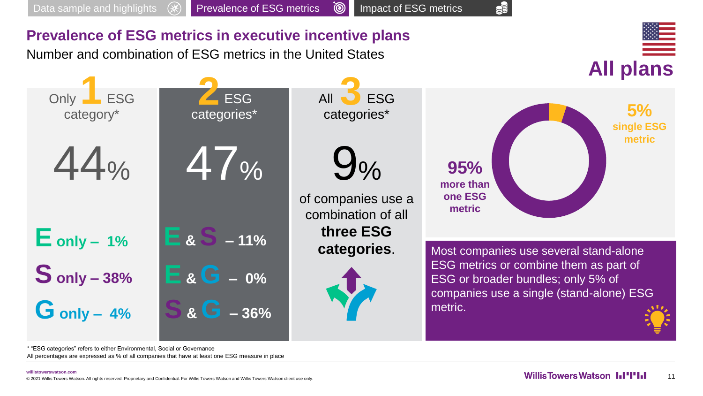

All percentages are expressed as % of all companies that have at least one ESG measure in place \* "ESG categories" refers to either Environmental, Social or Governance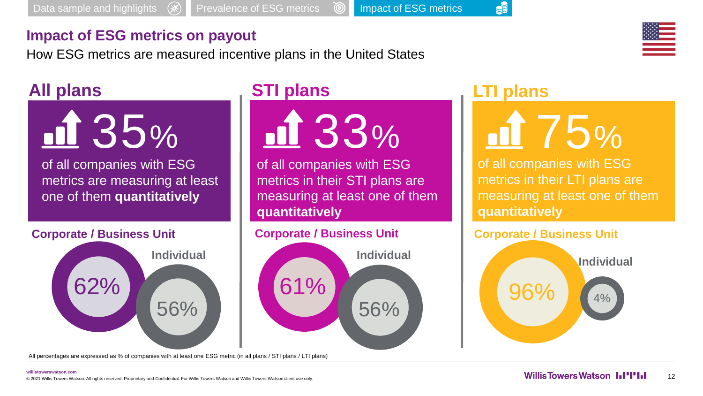#### **Impact of ESG metrics on payout**

How ESG metrics are measured incentive plans in the United States

## **All plans**



metrics are measuring at least one of them **quantitatively**

#### **Corporate / Business Unit**



All percentages are expressed as % of companies with at least one ESG metric (in all plans / STI plans / LTI plans)

nd 33%

of all companies with ESG metrics in their STI plans are measuring at least one of them **quantitatively**

#### **Corporate / Business Unit**



## **STI plans LTI plans**

S



of all companies with ESG metrics in their LTI plans are measuring at least one of them **quantitatively**

## **Corporate / Business Unit**

96% 4% **Individual**

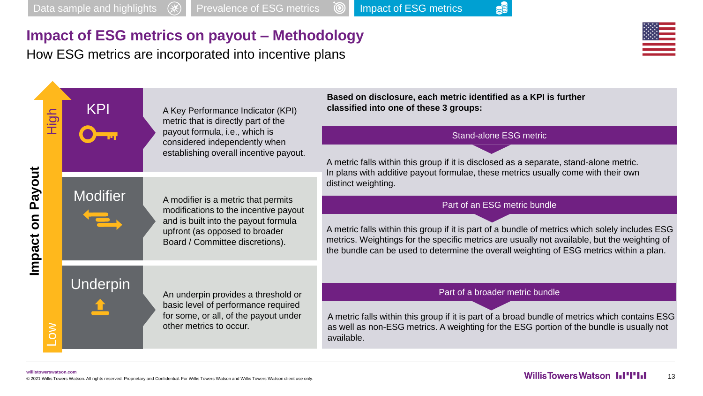<u>SE</u>

#### **Impact of ESG metrics on payout – Methodology**

How ESG metrics are incorporated into incentive plans

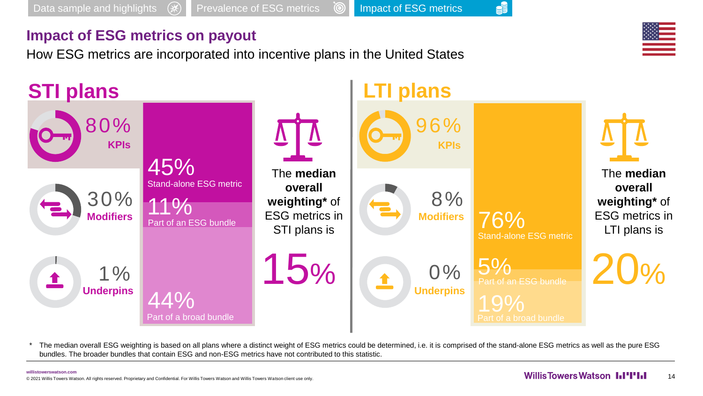#### **Impact of ESG metrics on payout**

How ESG metrics are incorporated into incentive plans in the United States



The median overall ESG weighting is based on all plans where a distinct weight of ESG metrics could be determined, i.e. it is comprised of the stand-alone ESG metrics as well as the pure ESG bundles. The broader bundles that contain ESG and non-ESG metrics have not contributed to this statistic.

![](_page_14_Picture_7.jpeg)

<u>SF</u>